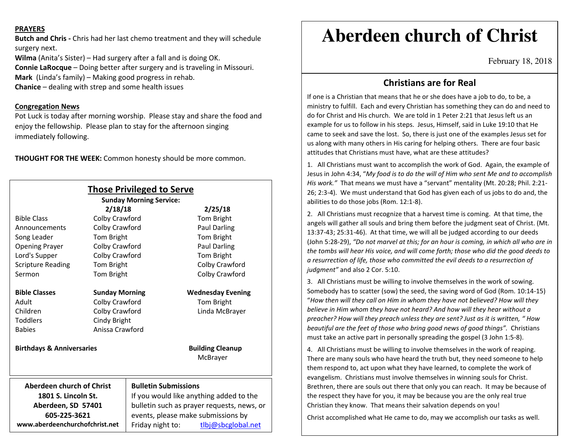## **PRAYERS**

**Butch and Chris -** Chris had her last chemo treatment and they will schedule surgery next.

**Wilma** (Anita's Sister) – Had surgery after a fall and is doing OK.

**Connie LaRocque** – Doing better after surgery and is traveling in Missouri.

**Mark** (Linda's family) – Making good progress in rehab.

**Chanice** – dealing with strep and some health issues

## **Congregation News**

 Pot Luck is today after morning worship. Please stay and share the food and enjoy the fellowship. Please plan to stay for the afternoon singing immediately following.

**THOUGHT FOR THE WEEK:** Common honesty should be more common.

| <b>Those Privileged to Serve</b><br><b>Sunday Morning Service:</b> |                       |                                            |                                     |
|--------------------------------------------------------------------|-----------------------|--------------------------------------------|-------------------------------------|
| 2/18/18                                                            |                       |                                            | 2/25/18                             |
| <b>Bible Class</b>                                                 | Colby Crawford        |                                            | Tom Bright                          |
| Announcements                                                      | Colby Crawford        |                                            | <b>Paul Darling</b>                 |
| Song Leader                                                        | Tom Bright            |                                            | Tom Bright                          |
| <b>Opening Prayer</b>                                              | Colby Crawford        |                                            | <b>Paul Darling</b>                 |
| Lord's Supper                                                      | Colby Crawford        |                                            | Tom Bright                          |
| <b>Scripture Reading</b>                                           | Tom Bright            |                                            | Colby Crawford                      |
| Sermon                                                             | Tom Bright            |                                            | Colby Crawford                      |
| <b>Bible Classes</b>                                               | <b>Sunday Morning</b> |                                            | <b>Wednesday Evening</b>            |
| Adult                                                              | Colby Crawford        |                                            | Tom Bright                          |
| Children                                                           | Colby Crawford        |                                            | Linda McBrayer                      |
| <b>Toddlers</b>                                                    | Cindy Bright          |                                            |                                     |
| <b>Babies</b>                                                      | Anissa Crawford       |                                            |                                     |
| <b>Birthdays &amp; Anniversaries</b>                               |                       |                                            | <b>Building Cleanup</b><br>McBrayer |
| Aberdeen church of Christ                                          |                       | <b>Bulletin Submissions</b>                |                                     |
| 1801 S. Lincoln St.                                                |                       | If you would like anything added to the    |                                     |
| Aberdeen, SD 57401                                                 |                       | bulletin such as prayer requests, news, or |                                     |
| 605-225-3621                                                       |                       | events, please make submissions by         |                                     |
| www.aberdeenchurchofchrist.net                                     |                       | Friday night to:                           | tlbj@sbcglobal.net                  |

# **Aberdeen church of Christ**

February 18, 2018

## **Christians are for Real**

If one is a Christian that means that he or she does have a job to do, to be, a ministry to fulfill. Each and every Christian has something they can do and need to do for Christ and His church. We are told in 1 Peter 2:21 that Jesus left us an example for us to follow in his steps. Jesus, Himself, said in Luke 19:10 that He came to seek and save the lost. So, there is just one of the examples Jesus set for us along with many others in His caring for helping others. There are four basic attitudes that Christians must have, what are these attitudes?

1. All Christians must want to accomplish the work of God. Again, the example of Jesus in John 4:34, "*My food is to do the will of Him who sent Me and to accomplish His work."* That means we must have a "servant" mentality (Mt. 20:28; Phil. 2:21-26; 2:3-4). We must understand that God has given each of us jobs to do and, the abilities to do those jobs (Rom. 12:1-8).

2. All Christians must recognize that a harvest time is coming. At that time, the angels will gather all souls and bring them before the judgment seat of Christ. (Mt. 13:37-43; 25:31-46). At that time, we will all be judged according to our deeds (John 5:28-29), *"Do not marvel at this; for an hour is coming, in which all who are in the tombs will hear His voice, and will come forth; those who did the good deeds to a resurrection of life, those who committed the evil deeds to a resurrection of judgment"* and also 2 Cor. 5:10.

3. All Christians must be willing to involve themselves in the work of sowing. Somebody has to scatter (sow) the seed, the saving word of God (Rom. 10:14-15) "*How then will they call on Him in whom they have not believed? How will they believe in Him whom they have not heard? And how will they hear without a preacher? How will they preach unless they are sent? Just as it is written, " How beautiful are the feet of those who bring good news of good things".* Christians must take an active part in personally spreading the gospel (3 John 1:5-8).

4. All Christians must be willing to involve themselves in the work of reaping. There are many souls who have heard the truth but, they need someone to help them respond to, act upon what they have learned, to complete the work of evangelism. Christians must involve themselves in winning souls for Christ. Brethren, there are souls out there that only you can reach. It may be because of the respect they have for you, it may be because you are the only real true Christian they know. That means their salvation depends on you!

Christ accomplished what He came to do, may we accomplish our tasks as well.